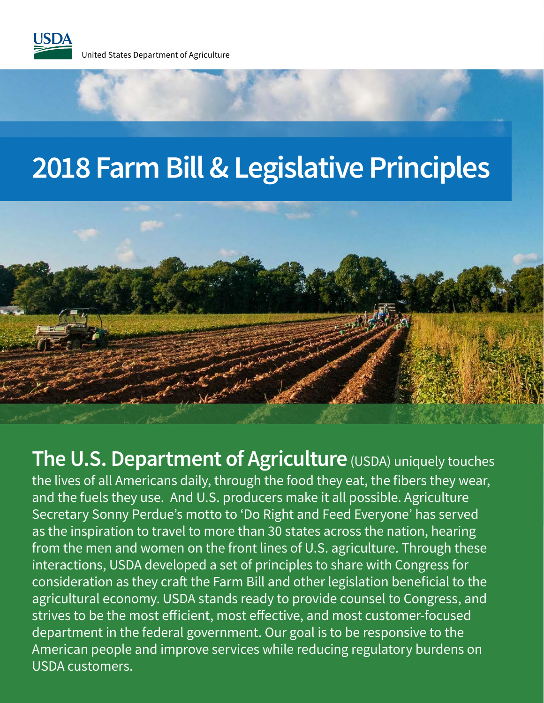

## **2018 Farm Bill & Legislative Principles**



**The U.S. Department of Agriculture** (USDA) uniquely touches the lives of all Americans daily, through the food they eat, the fibers they wear, and the fuels they use. And U.S. producers make it all possible. Agriculture Secretary Sonny Perdue's motto to 'Do Right and Feed Everyone' has served as the inspiration to travel to more than 30 states across the nation, hearing from the men and women on the front lines of U.S. agriculture. Through these interactions, USDA developed a set of principles to share with Congress for consideration as they craft the Farm Bill and other legislation beneficial to the agricultural economy. USDA stands ready to provide counsel to Congress, and strives to be the most efficient, most effective, and most customer-focused department in the federal government. Our goal is to be responsive to the American people and improve services while reducing regulatory burdens on USDA customers.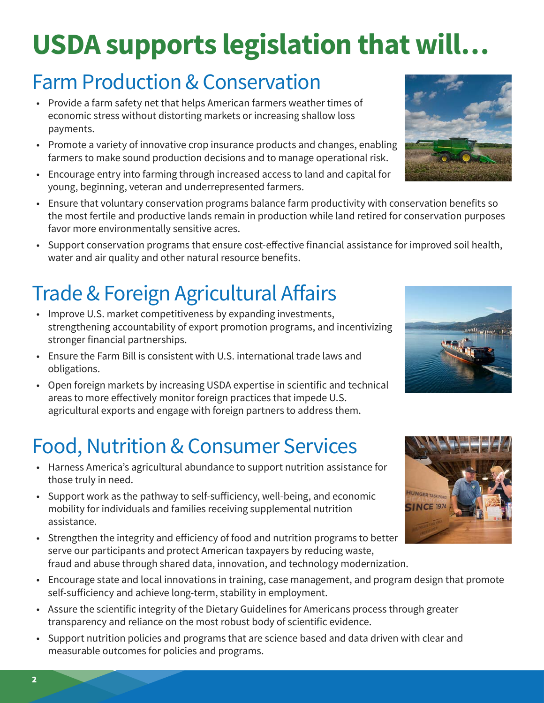# **USDA supports legislation that will…**

#### Farm Production & Conservation

- Provide a farm safety net that helps American farmers weather times of economic stress without distorting markets or increasing shallow loss payments.
- Promote a variety of innovative crop insurance products and changes, enabling farmers to make sound production decisions and to manage operational risk.
- Encourage entry into farming through increased access to land and capital for young, beginning, veteran and underrepresented farmers.
- Ensure that voluntary conservation programs balance farm productivity with conservation benefits so the most fertile and productive lands remain in production while land retired for conservation purposes favor more environmentally sensitive acres.
- Support conservation programs that ensure cost-effective financial assistance for improved soil health, water and air quality and other natural resource benefits.

#### Trade & Foreign Agricultural Affairs

- Improve U.S. market competitiveness by expanding investments, strengthening accountability of export promotion programs, and incentivizing stronger financial partnerships.
- Ensure the Farm Bill is consistent with U.S. international trade laws and obligations.
- Open foreign markets by increasing USDA expertise in scientific and technical areas to more effectively monitor foreign practices that impede U.S. agricultural exports and engage with foreign partners to address them.

#### Food, Nutrition & Consumer Services

- Harness America's agricultural abundance to support nutrition assistance for those truly in need.
- Support work as the pathway to self-sufficiency, well-being, and economic mobility for individuals and families receiving supplemental nutrition assistance.
- Strengthen the integrity and efficiency of food and nutrition programs to better serve our participants and protect American taxpayers by reducing waste, fraud and abuse through shared data, innovation, and technology modernization.
- Encourage state and local innovations in training, case management, and program design that promote self-sufficiency and achieve long-term, stability in employment.
- Assure the scientific integrity of the Dietary Guidelines for Americans process through greater transparency and reliance on the most robust body of scientific evidence.
- Support nutrition policies and programs that are science based and data driven with clear and measurable outcomes for policies and programs.







 $2$  3  $\sim$  3  $\sim$  3  $\sim$  3  $\sim$  3  $\sim$  3  $\sim$  3  $\sim$  3  $\sim$  3  $\sim$  3  $\sim$  3  $\sim$  3  $\sim$  3  $\sim$  3  $\sim$  3  $\sim$  3  $\sim$  3  $\sim$  3  $\sim$  3  $\sim$  3  $\sim$  3  $\sim$  3  $\sim$  3  $\sim$  3  $\sim$  3  $\sim$  3  $\sim$  3  $\sim$  3  $\sim$  3  $\sim$  3  $\sim$  3  $\sim$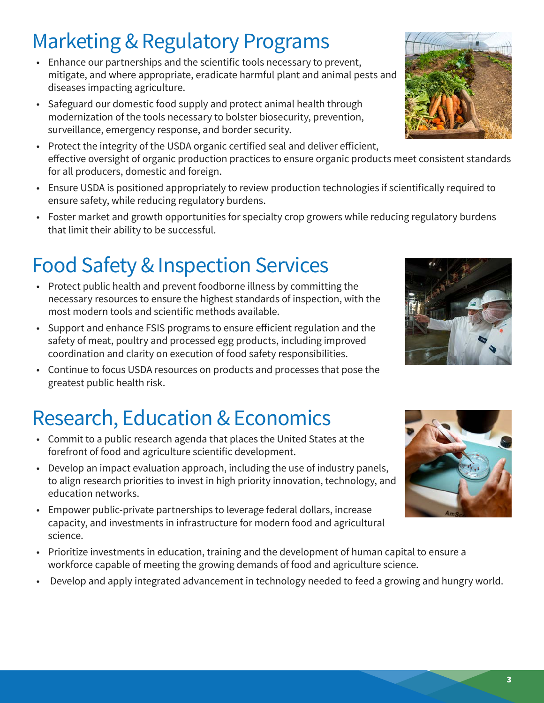#### Marketing & Regulatory Programs

- Enhance our partnerships and the scientific tools necessary to prevent, mitigate, and where appropriate, eradicate harmful plant and animal pests and diseases impacting agriculture.
- Safeguard our domestic food supply and protect animal health through modernization of the tools necessary to bolster biosecurity, prevention, surveillance, emergency response, and border security.
- Protect the integrity of the USDA organic certified seal and deliver efficient, effective oversight of organic production practices to ensure organic products meet consistent standards for all producers, domestic and foreign.
- Ensure USDA is positioned appropriately to review production technologies if scientifically required to ensure safety, while reducing regulatory burdens.
- Foster market and growth opportunities for specialty crop growers while reducing regulatory burdens that limit their ability to be successful.

#### Food Safety & Inspection Services

- Protect public health and prevent foodborne illness by committing the necessary resources to ensure the highest standards of inspection, with the most modern tools and scientific methods available.
- Support and enhance FSIS programs to ensure efficient regulation and the safety of meat, poultry and processed egg products, including improved coordination and clarity on execution of food safety responsibilities.
- Continue to focus USDA resources on products and processes that pose the greatest public health risk.

### Research, Education & Economics

- Commit to a public research agenda that places the United States at the forefront of food and agriculture scientific development.
- Develop an impact evaluation approach, including the use of industry panels, to align research priorities to invest in high priority innovation, technology, and education networks.
- Empower public-private partnerships to leverage federal dollars, increase capacity, and investments in infrastructure for modern food and agricultural science.
- Prioritize investments in education, training and the development of human capital to ensure a workforce capable of meeting the growing demands of food and agriculture science.
- Develop and apply integrated advancement in technology needed to feed a growing and hungry world.